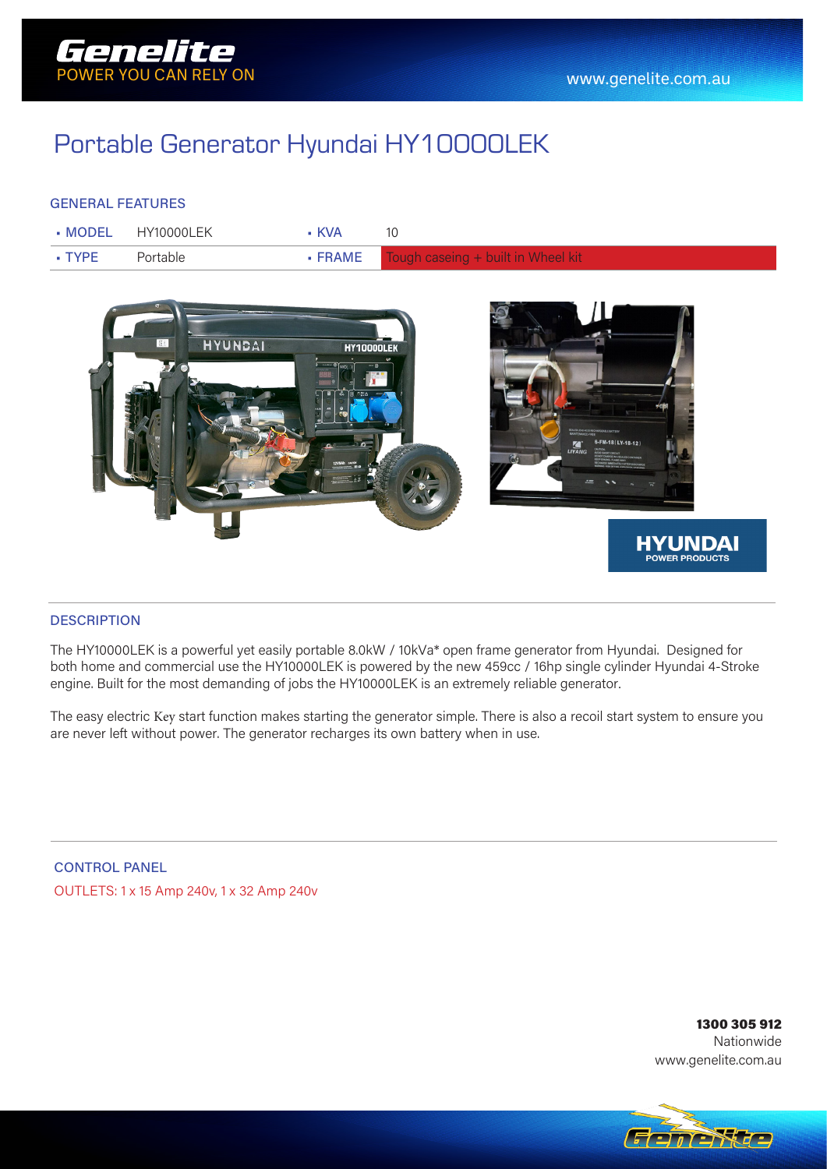

## Portable Generator Hyundai HY10000LEK

### GENERAL FEATURES

|                     | $\blacksquare$ MODEL HY10000LFK | • KVA |                                                      |
|---------------------|---------------------------------|-------|------------------------------------------------------|
| $\blacksquare$ TYPF | Portable                        |       | $\bullet$ FRAME Tough caseing $+$ built in Wheel kit |



#### **DESCRIPTION**

The HY10000LEK is a powerful yet easily portable 8.0kW / 10kVa\* open frame generator from Hyundai. Designed for both home and commercial use the HY10000LEK is powered by the new 459cc / 16hp single cylinder Hyundai 4-Stroke engine. Built for the most demanding of jobs the HY10000LEK is an extremely reliable generator.

The easy electric Key start function makes starting the generator simple. There is also a recoil start system to ensure you are never left without power. The generator recharges its own battery when in use.

CONTROL PANEL OUTLETS: 1 x 15 Amp 240v, 1 x 32 Amp 240v

> 1300 305 912 Nationwide www.genelite.com.au